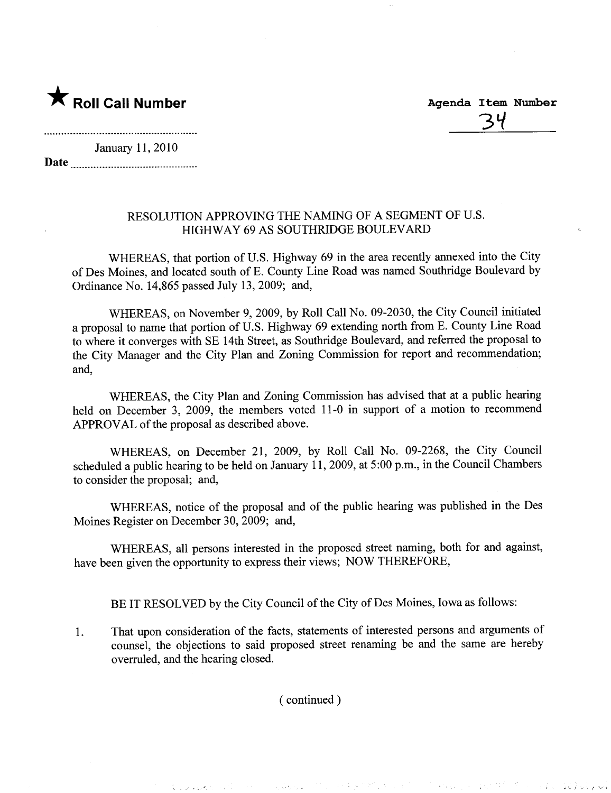

<u>34</u>

 $\sim$  . I is the set of  $\sim$ 

经行价 的

in a straight

January 11, 2010 Date

## RESOLUTION APPROVING THE NAMING OF A SEGMENT OF U.S. HIGHWAY 69 AS SOUTHRIDGE BOULEVARD

WHEREAS, that portion of U.S. Highway 69 in the area recently annexed into the City of Des Moines, and located south of E. County Line Road was named Southrdge Boulevard by Ordinance No. 14,865 passed July 13,2009; and,

WHEREAS, on November 9, 2009, by Roll Call No. 09-2030, the City Council initiated a proposal to name that portion of U.S. Highway 69 extending north from E. County Line Road to where it converges with SE 14th Street, as Southridge Boulevard, and referred the proposal to the City Manager and the City Plan and Zoning Commission for report and recommendation; and,

WHEREAS, the City Plan and Zoning Commission has advised that at a public hearing held on December 3, 2009, the members voted 11-0 in support of a motion to recommend APPROVAL of the proposal as described above.

WHEREAS, on December 21, 2009, by Roll Call No. 09-2268, the City Council scheduled a public hearing to be held on January 11, 2009, at 5:00 p.m., in the Council Chambers to consider the proposal; and,

WHEREAS, notice of the proposal and of the public hearing was published in the Des Moines Register on December 30, 2009; and,

WHEREAS, all persons interested in the proposed street naming, both for and against, have been given the opportunity to express their views; NOW THEREFORE,

BE IT RESOLVED by the City Council of the City of Des Moines, Iowa as follows:

1. That upon consideration of the facts, statements of interested persons and arguments of counsel, the objections to said proposed street renaming be and the same are hereby overruled, and the hearing closed.

( continued)

 $\hat{\mathbf{A}}$  , and a graph  $\mathbf{A}$  , and

 $\label{eq:G1} \mathcal{L}_{\mathbf{A}} \mathcal{L}_{\mathbf{A}} \mathcal{L}_{\mathbf{A}} = \mathcal{L}_{\mathbf{A}} \mathcal{L}_{\mathbf{A}} \mathcal{L}_{\mathbf{A}} + \mathcal{L}_{\mathbf{A}} \mathcal{L}_{\mathbf{A}} \mathcal{L}_{\mathbf{A}} \mathcal{L}_{\mathbf{A}} \mathcal{L}_{\mathbf{A}} \mathcal{L}_{\mathbf{A}} \mathcal{L}_{\mathbf{A}} \mathcal{L}_{\mathbf{A}} \mathcal{L}_{\mathbf{A}} \mathcal{L}_{\mathbf{A}} \mathcal{L}_{\mathbf{A}} \mathcal{L}_{$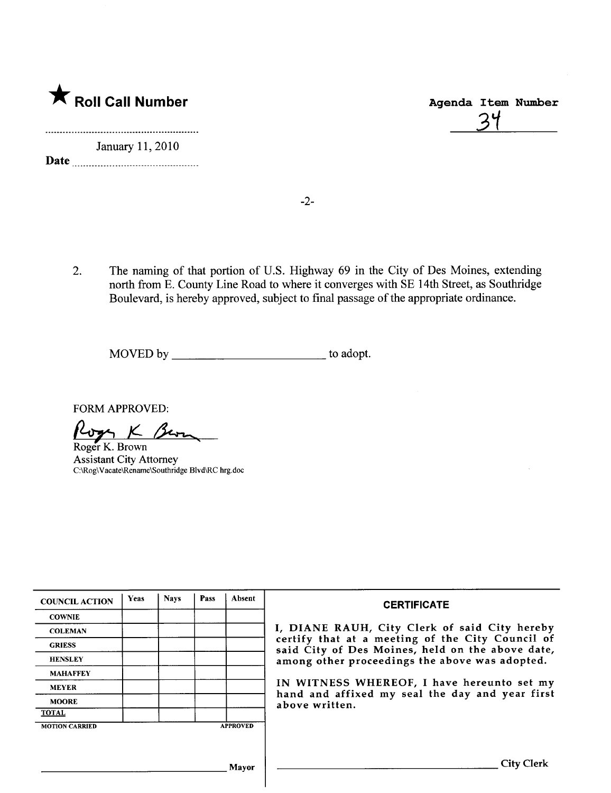

|    | Agenda Item Number |
|----|--------------------|
| 34 |                    |
|    |                    |

January 11,2010 Date

-2-

2. The naming of that portion of U.S. Highway 69 in the City of Des Moines, extending north from E. County Line Road to where it converges with SE 14th Street, as Southridge Boulevard, is hereby approved, subject to final passage of the appropriate ordinance.

MOVED by to adopt.

FORM APPROVED:

Roger K. Brown

Assistant City Attorney C:\RogWacate\Rename\Southridge Blvd\RC hrg.doc

| <b>COUNCIL ACTION</b> | <b>Yeas</b> | <b>Navs</b> | Pass | Absent          | <b>CERTIFICATE</b>                                                                                   |  |  |  |
|-----------------------|-------------|-------------|------|-----------------|------------------------------------------------------------------------------------------------------|--|--|--|
| <b>COWNIE</b>         |             |             |      |                 |                                                                                                      |  |  |  |
| <b>COLEMAN</b>        |             |             |      |                 | I, DIANE RAUH, City Clerk of said City hereby                                                        |  |  |  |
| <b>GRIESS</b>         |             |             |      |                 | certify that at a meeting of the City Council of<br>said City of Des Moines, held on the above date, |  |  |  |
| <b>HENSLEY</b>        |             |             |      |                 | among other proceedings the above was adopted.                                                       |  |  |  |
| <b>MAHAFFEY</b>       |             |             |      |                 |                                                                                                      |  |  |  |
| <b>MEYER</b>          |             |             |      |                 | IN WITNESS WHEREOF, I have hereunto set my<br>hand and affixed my seal the day and year first        |  |  |  |
| <b>MOORE</b>          |             |             |      |                 | above written.                                                                                       |  |  |  |
| <b>TOTAL</b>          |             |             |      |                 |                                                                                                      |  |  |  |
| <b>MOTION CARRIED</b> |             |             |      | <b>APPROVED</b> |                                                                                                      |  |  |  |
|                       |             |             |      |                 |                                                                                                      |  |  |  |
|                       |             |             |      | Mayor           | <b>City Clerk</b>                                                                                    |  |  |  |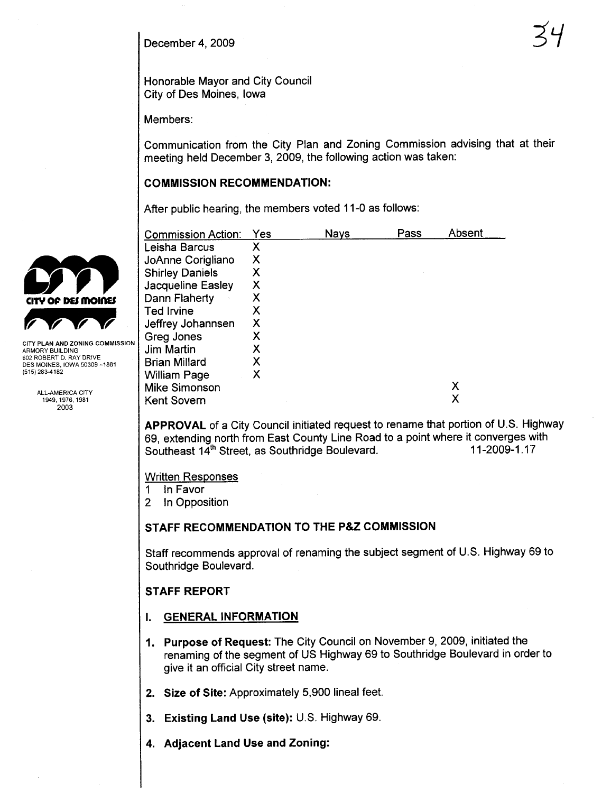December 4, 2009

Honorable Mayor and City Council City of Des Moines, Iowa

Members:

Communication from the City Plan and Zoning Commission advising that at their meeting held December 3, 2009, the following action was taken:

### COMMISSION RECOMMENDATION:

After public hearing, the members voted 11-0 as follows:

| <b>Commission Action:</b> | Yes | Nays | Pass | Absent |
|---------------------------|-----|------|------|--------|
| Leisha Barcus             | х   |      |      |        |
| JoAnne Corigliano         | х   |      |      |        |
| <b>Shirley Daniels</b>    | Х   |      |      |        |
| <b>Jacqueline Easley</b>  | Χ   |      |      |        |
| Dann Flaherty             | Х   |      |      |        |
| <b>Ted Irvine</b>         | Х   |      |      |        |
| Jeffrey Johannsen         | Х   |      |      |        |
| Greg Jones                | х   |      |      |        |
| <b>Jim Martin</b>         | х   |      |      |        |
| <b>Brian Millard</b>      | х   |      |      |        |
| <b>William Page</b>       | Х   |      |      |        |
| <b>Mike Simonson</b>      |     |      |      | х      |
| Kent Sovern               |     |      |      | Х      |

APPROVAL of a City Council initiated request to rename that portion of U.S. Highway 69, extending north from East County Line Road to a point where it converges with Southeast  $14<sup>th</sup>$  Street as Southridge Boulevard. Southeast 14<sup>th</sup> Street, as Southridge Boulevard.

Written Responses

1 In Favor

2 In Opposition

## STAFF RECOMMENDATION TO THE P&Z COMMISSION

Staff recommends approval of renaming the subject segment of U.S. Highway 69 to Southridge Boulevard.

## STAFF REPORT

- i. GENERAL INFORMATION
- 1. Purpose of Request: The City Council on November 9, 2009, initiated the renaming of the segment of US Highway 69 to Southridge Boulevard in order to give it an official City street name.
- 2. Size of Site: Approximately 5,900 lineal feet.
- 3. Existing Land Use (site): U.S. Highway 69.
- 4. Adjacent Land Use and Zoning:



ARMORY BUILDING 602 ROBERT D. RAY DRIVE DES MOINES, IOWA 50309 -1881 (515) 283-4182

> ALL-AMERICA CITY 1949,1976,1981 2003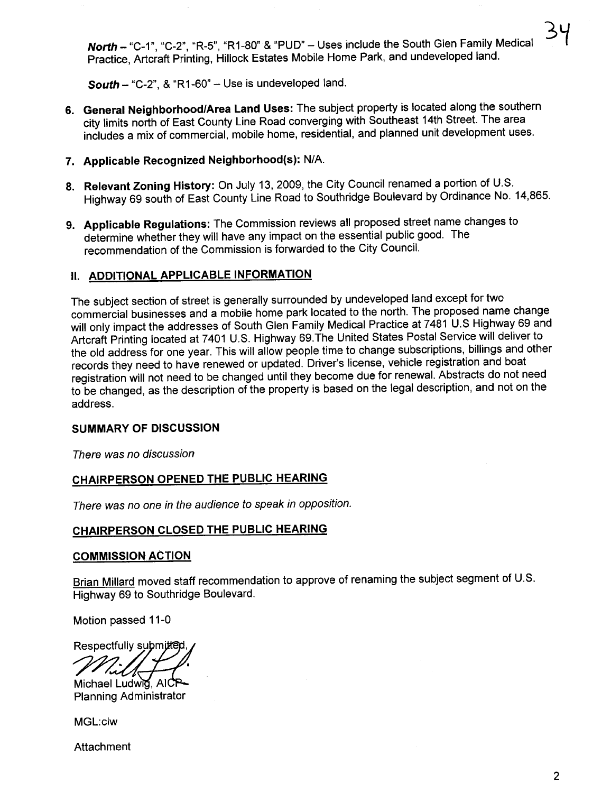North - "C-1", "C-2", "R-5", "R1-80" & "PUD" - Uses include the South Glen Family Medical Practice, Artcraft Printing, Hillock Estates Mobile Home Park, and undeveloped land.

South - "C-2", & "R1-60" - Use is undeveloped land.

- 6. General Neighborhood/Area Land Uses: The subject property is located along the southern city limits north of East County Line Road converging with Southeast 14th Street. The area includes a mix of commercial, mobile home, residential, and planned unit development uses.
- 7. Applicable Recognized Neighborhood(s): N/A.
- 8. Relevant Zoning History: On July 13, 2009, the City Council renamed a portion of U.S. Highway 69 south of East County Line Road to Southridge Boulevard by Ordinance No. 14,865.
- 9. Applicable Regulations: The Commission reviews all proposed street name changes to determine whether they will have any impact on the essential public good. The recommendation of the Commission is forwarded to the City Council.

## II. ADDITIONAL APPLICABLE INFORMATION

The subject section of street is generally surrounded by undeveloped land except for two commercial businesses and a mobile home park located to the north. The proposed name change will only impact the addresses of South Glen Family Medical Practice at 7481 U.S Highway 69 and Artcraft Printing located at 7401 U.S. Highway 69.The United States Postal Service will deliver to the old address for one year. This will allow people time to change subscriptions, billings and other records they need to have renewed or updated. Driver's license, vehicle registration and boat registration will not need to be changed until they become due for renewaL. Abstracts do not need to be changed, as the description of the property is based on the legal description, and not on the address.

#### SUMMARY OF DISCUSSION

There was no discussion

## CHAIRPERSON OPENED THE PUBLIC HEARING

There was no one in the audience to speak in opposition.

# CHAIRPERSON CLOSED THE PUBLIC HEARING

#### COMMISSION ACTION

Brian Milard moved staff recommendation to approve of renaming the subject segment of U.S. Highway 69 to Southridge Boulevard.

Motion passed 11-0

Respectfully submitter

Michael Ludwig, AICP-**Planning Administrator** 

MGL:clw

Attachment